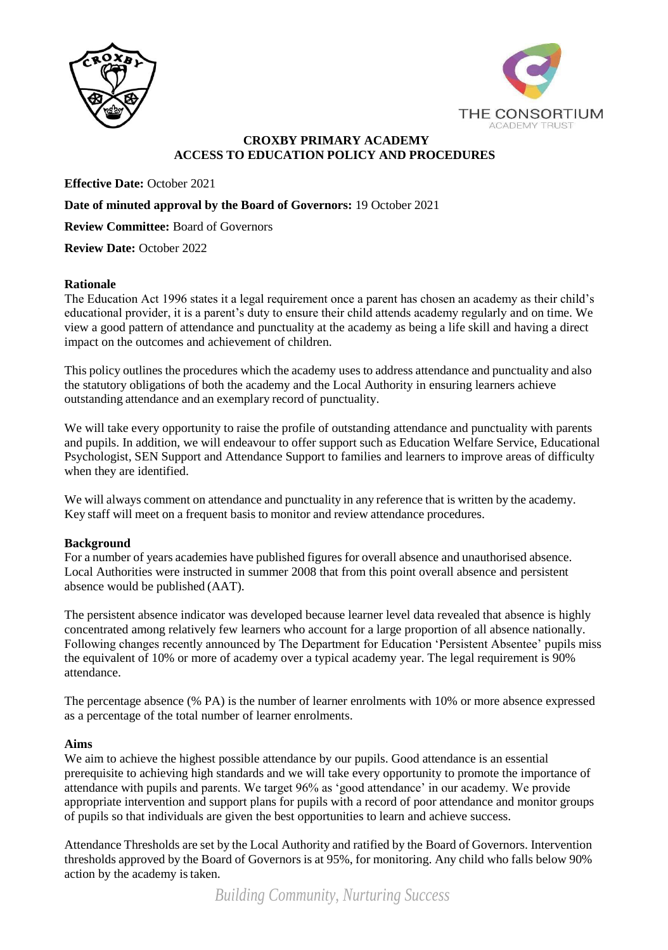



# **CROXBY PRIMARY ACADEMY ACCESS TO EDUCATION POLICY AND PROCEDURES**

**Effective Date:** October 2021

#### **Date of minuted approval by the Board of Governors:** 19 October 2021

**Review Committee:** Board of Governors

**Review Date:** October 2022

#### **Rationale**

The Education Act 1996 states it a legal requirement once a parent has chosen an academy as their child's educational provider, it is a parent's duty to ensure their child attends academy regularly and on time. We view a good pattern of attendance and punctuality at the academy as being a life skill and having a direct impact on the outcomes and achievement of children.

This policy outlines the procedures which the academy uses to address attendance and punctuality and also the statutory obligations of both the academy and the Local Authority in ensuring learners achieve outstanding attendance and an exemplary record of punctuality.

We will take every opportunity to raise the profile of outstanding attendance and punctuality with parents and pupils. In addition, we will endeavour to offer support such as Education Welfare Service, Educational Psychologist, SEN Support and Attendance Support to families and learners to improve areas of difficulty when they are identified.

We will always comment on attendance and punctuality in any reference that is written by the academy. Key staff will meet on a frequent basis to monitor and review attendance procedures.

## **Background**

For a number of years academies have published figures for overall absence and unauthorised absence. Local Authorities were instructed in summer 2008 that from this point overall absence and persistent absence would be published (AAT).

The persistent absence indicator was developed because learner level data revealed that absence is highly concentrated among relatively few learners who account for a large proportion of all absence nationally. Following changes recently announced by The Department for Education 'Persistent Absentee' pupils miss the equivalent of 10% or more of academy over a typical academy year. The legal requirement is 90% attendance.

The percentage absence (% PA) is the number of learner enrolments with 10% or more absence expressed as a percentage of the total number of learner enrolments.

#### **Aims**

We aim to achieve the highest possible attendance by our pupils. Good attendance is an essential prerequisite to achieving high standards and we will take every opportunity to promote the importance of attendance with pupils and parents. We target 96% as 'good attendance' in our academy. We provide appropriate intervention and support plans for pupils with a record of poor attendance and monitor groups of pupils so that individuals are given the best opportunities to learn and achieve success.

Attendance Thresholds are set by the Local Authority and ratified by the Board of Governors. Intervention thresholds approved by the Board of Governors is at 95%, for monitoring. Any child who falls below 90% action by the academy istaken.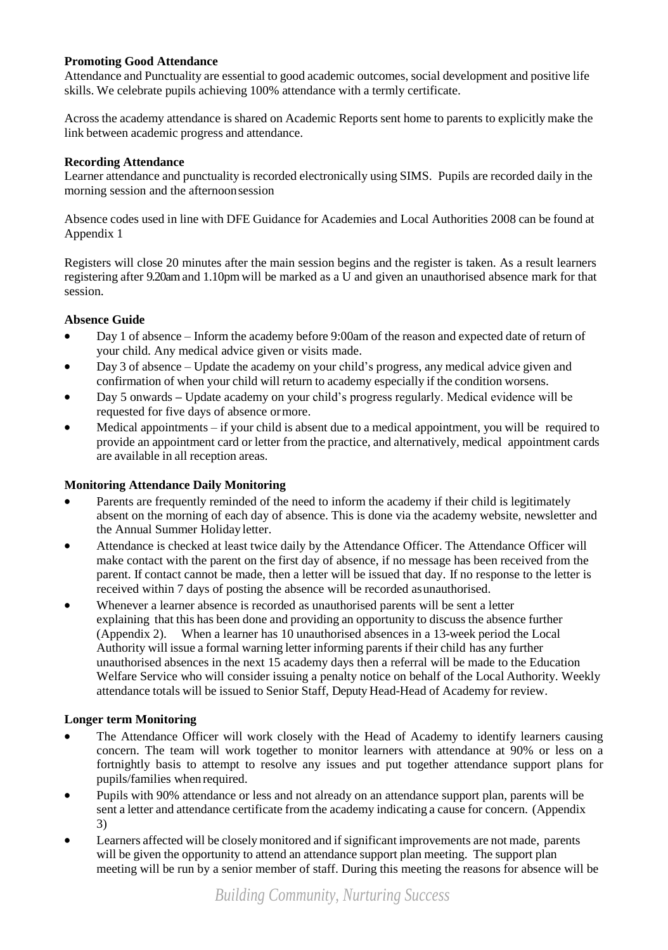# **Promoting Good Attendance**

Attendance and Punctuality are essential to good academic outcomes, social development and positive life skills. We celebrate pupils achieving 100% attendance with a termly certificate.

Across the academy attendance is shared on Academic Reports sent home to parents to explicitly make the link between academic progress and attendance.

## **Recording Attendance**

Learner attendance and punctuality is recorded electronically using SIMS. Pupils are recorded daily in the morning session and the afternoonsession

Absence codes used in line with DFE Guidance for Academies and Local Authorities 2008 can be found at Appendix 1

Registers will close 20 minutes after the main session begins and the register is taken. As a result learners registering after 9.20amand 1.10pm will be marked as a U and given an unauthorised absence mark for that session.

# **Absence Guide**

- Day 1 of absence Inform the academy before 9:00am of the reason and expected date of return of your child. Any medical advice given or visits made.
- Day 3 of absence Update the academy on your child's progress, any medical advice given and confirmation of when your child will return to academy especially if the condition worsens.
- Day 5 onwards **–** Update academy on your child's progress regularly. Medical evidence will be requested for five days of absence ormore.
- Medical appointments if your child is absent due to a medical appointment, you will be required to provide an appointment card or letter from the practice, and alternatively, medical appointment cards are available in all reception areas.

## **Monitoring Attendance Daily Monitoring**

- Parents are frequently reminded of the need to inform the academy if their child is legitimately absent on the morning of each day of absence. This is done via the academy website, newsletter and the Annual Summer Holiday letter.
- Attendance is checked at least twice daily by the Attendance Officer. The Attendance Officer will make contact with the parent on the first day of absence, if no message has been received from the parent. If contact cannot be made, then a letter will be issued that day. If no response to the letter is received within 7 days of posting the absence will be recorded asunauthorised.
- Whenever a learner absence is recorded as unauthorised parents will be sent a letter explaining that this has been done and providing an opportunity to discuss the absence further (Appendix 2). When a learner has 10 unauthorised absences in a 13-week period the Local Authority will issue a formal warning letter informing parents if their child has any further unauthorised absences in the next 15 academy days then a referral will be made to the Education Welfare Service who will consider issuing a penalty notice on behalf of the Local Authority. Weekly attendance totals will be issued to Senior Staff, Deputy Head-Head of Academy for review.

## **Longer term Monitoring**

- The Attendance Officer will work closely with the Head of Academy to identify learners causing concern. The team will work together to monitor learners with attendance at 90% or less on a fortnightly basis to attempt to resolve any issues and put together attendance support plans for pupils/families when required.
- Pupils with 90% attendance or less and not already on an attendance support plan, parents will be sent a letter and attendance certificate from the academy indicating a cause for concern. (Appendix 3)
- Learners affected will be closely monitored and if significant improvements are not made, parents will be given the opportunity to attend an attendance support plan meeting. The support plan meeting will be run by a senior member of staff. During this meeting the reasons for absence will be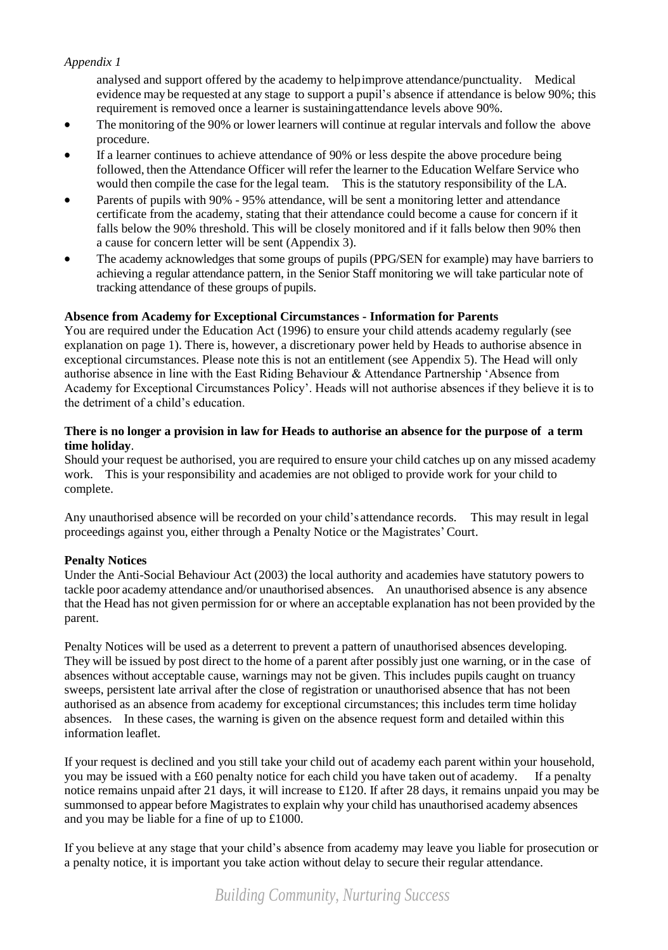## *Appendix 1*

analysed and support offered by the academy to helpimprove attendance/punctuality. Medical evidence may be requested at any stage to support a pupil's absence if attendance is below 90%; this requirement is removed once a learner is sustainingattendance levels above 90%.

- The monitoring of the 90% or lower learners will continue at regular intervals and follow the above procedure.
- If a learner continues to achieve attendance of 90% or less despite the above procedure being followed, then the Attendance Officer will refer the learner to the Education Welfare Service who would then compile the case for the legal team. This is the statutory responsibility of the LA.
- Parents of pupils with 90% 95% attendance, will be sent a monitoring letter and attendance certificate from the academy, stating that their attendance could become a cause for concern if it falls below the 90% threshold. This will be closely monitored and if it falls below then 90% then a cause for concern letter will be sent (Appendix 3).
- The academy acknowledges that some groups of pupils (PPG/SEN for example) may have barriers to achieving a regular attendance pattern, in the Senior Staff monitoring we will take particular note of tracking attendance of these groups of pupils.

#### **Absence from Academy for Exceptional Circumstances - Information for Parents**

You are required under the Education Act (1996) to ensure your child attends academy regularly (see explanation on page 1). There is, however, a discretionary power held by Heads to authorise absence in exceptional circumstances. Please note this is not an entitlement (see Appendix 5). The Head will only authorise absence in line with the East Riding Behaviour & Attendance Partnership 'Absence from Academy for Exceptional Circumstances Policy'. Heads will not authorise absences if they believe it is to the detriment of a child's education.

#### **There is no longer a provision in law for Heads to authorise an absence for the purpose of a term time holiday**.

Should your request be authorised, you are required to ensure your child catches up on any missed academy work. This is your responsibility and academies are not obliged to provide work for your child to complete.

Any unauthorised absence will be recorded on your child's attendance records. This may result in legal proceedings against you, either through a Penalty Notice or the Magistrates'Court.

#### **Penalty Notices**

Under the Anti-Social Behaviour Act (2003) the local authority and academies have statutory powers to tackle poor academy attendance and/or unauthorised absences. An unauthorised absence is any absence that the Head has not given permission for or where an acceptable explanation has not been provided by the parent.

Penalty Notices will be used as a deterrent to prevent a pattern of unauthorised absences developing. They will be issued by post direct to the home of a parent after possibly just one warning, or in the case of absences without acceptable cause, warnings may not be given. This includes pupils caught on truancy sweeps, persistent late arrival after the close of registration or unauthorised absence that has not been authorised as an absence from academy for exceptional circumstances; this includes term time holiday absences. In these cases, the warning is given on the absence request form and detailed within this information leaflet.

If your request is declined and you still take your child out of academy each parent within your household, you may be issued with a £60 penalty notice for each child you have taken out of academy. If a penalty notice remains unpaid after 21 days, it will increase to £120. If after 28 days, it remains unpaid you may be summonsed to appear before Magistrates to explain why your child has unauthorised academy absences and you may be liable for a fine of up to £1000.

If you believe at any stage that your child's absence from academy may leave you liable for prosecution or a penalty notice, it is important you take action without delay to secure their regular attendance.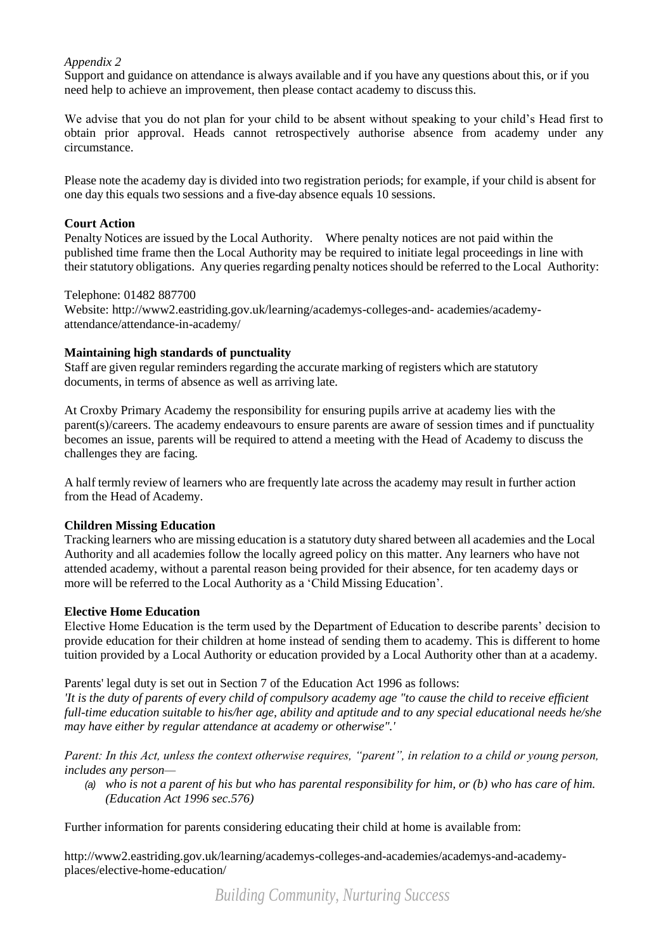## *Appendix 2*

Support and guidance on attendance is always available and if you have any questions about this, or if you need help to achieve an improvement, then please contact academy to discussthis.

We advise that you do not plan for your child to be absent without speaking to your child's Head first to obtain prior approval. Heads cannot retrospectively authorise absence from academy under any circumstance.

Please note the academy day is divided into two registration periods; for example, if your child is absent for one day this equals two sessions and a five-day absence equals 10 sessions.

#### **Court Action**

Penalty Notices are issued by the Local Authority. Where penalty notices are not paid within the published time frame then the Local Authority may be required to initiate legal proceedings in line with their statutory obligations. Any queries regarding penalty noticesshould be referred to the Local Authority:

#### Telephone: 01482 887700

Website: [http://www2.eastriding.gov.uk/learning/academys-colleges-and-](http://www2.eastriding.gov.uk/learning/schools-colleges-and-) academies/academyattendance/attendance-in-academy/

## **Maintaining high standards of punctuality**

Staff are given regular reminders regarding the accurate marking of registers which are statutory documents, in terms of absence as well as arriving late.

At Croxby Primary Academy the responsibility for ensuring pupils arrive at academy lies with the parent(s)/careers. The academy endeavours to ensure parents are aware of session times and if punctuality becomes an issue, parents will be required to attend a meeting with the Head of Academy to discuss the challenges they are facing.

A half termly review of learners who are frequently late across the academy may result in further action from the Head of Academy.

## **Children Missing Education**

Tracking learners who are missing education is a statutory duty shared between all academies and the Local Authority and all academies follow the locally agreed policy on this matter. Any learners who have not attended academy, without a parental reason being provided for their absence, for ten academy days or more will be referred to the Local Authority as a 'Child Missing Education'.

## **Elective Home Education**

Elective Home Education is the term used by the Department of Education to describe parents' decision to provide education for their children at home instead of sending them to academy. This is different to home tuition provided by a Local Authority or education provided by a Local Authority other than at a academy.

## Parents' legal duty is set out in Section 7 of the Education Act 1996 as follows:

*'It is the duty of parents of every child of compulsory academy age "to cause the child to receive efficient full-time education suitable to his/her age, ability and aptitude and to any special educational needs he/she may have either by regular attendance at academy or otherwise".'*

*Parent: In this Act, unless the context otherwise requires, "parent", in relation to a child or young person, includes any person—*

*(a) who is not a parent of his but who has parental responsibility for him, or (b) who has care of him. (Education Act 1996 sec.576)*

Further information for parents considering educating their child at home is available from:

[http://www2.eastriding.gov.uk/learning/academys-colleges-and-academies/academys-and-academy](http://www2.eastriding.gov.uk/learning/schools-colleges-and-academies/schools-and-school-)places/elective-home-education/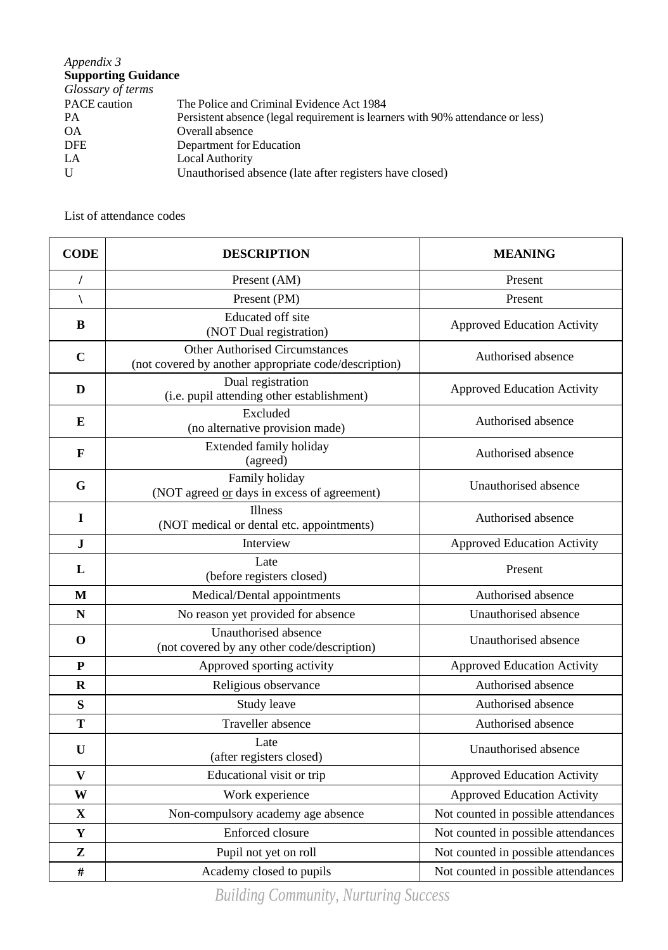# *Appendix 3* **Supporting Guidance**

| The Police and Criminal Evidence Act 1984                                      |
|--------------------------------------------------------------------------------|
| Persistent absence (legal requirement is learners with 90% attendance or less) |
| Overall absence                                                                |
| Department for Education                                                       |
| Local Authority                                                                |
| Unauthorised absence (late after registers have closed)                        |
|                                                                                |

# List of attendance codes

| <b>CODE</b>  | <b>DESCRIPTION</b>                                                                             | <b>MEANING</b>                      |  |  |  |  |  |
|--------------|------------------------------------------------------------------------------------------------|-------------------------------------|--|--|--|--|--|
|              | Present (AM)                                                                                   | Present                             |  |  |  |  |  |
|              | Present (PM)                                                                                   | Present                             |  |  |  |  |  |
| B            | Educated off site<br>(NOT Dual registration)                                                   | <b>Approved Education Activity</b>  |  |  |  |  |  |
| $\mathbf C$  | <b>Other Authorised Circumstances</b><br>(not covered by another appropriate code/description) | Authorised absence                  |  |  |  |  |  |
| D            | Dual registration<br>(i.e. pupil attending other establishment)                                | <b>Approved Education Activity</b>  |  |  |  |  |  |
| E            | Excluded<br>(no alternative provision made)                                                    | Authorised absence                  |  |  |  |  |  |
| F            | Extended family holiday<br>(agreed)                                                            | Authorised absence                  |  |  |  |  |  |
| G            | Family holiday<br>(NOT agreed or days in excess of agreement)                                  | Unauthorised absence                |  |  |  |  |  |
| 1            | <b>Illness</b><br>(NOT medical or dental etc. appointments)                                    | Authorised absence                  |  |  |  |  |  |
| ${\bf J}$    | Interview                                                                                      | <b>Approved Education Activity</b>  |  |  |  |  |  |
| L            | Late<br>(before registers closed)                                                              | Present                             |  |  |  |  |  |
| M            | Medical/Dental appointments                                                                    | Authorised absence                  |  |  |  |  |  |
| N            | No reason yet provided for absence                                                             | Unauthorised absence                |  |  |  |  |  |
| $\mathbf 0$  | Unauthorised absence<br>(not covered by any other code/description)                            | Unauthorised absence                |  |  |  |  |  |
| ${\bf P}$    | Approved sporting activity                                                                     | <b>Approved Education Activity</b>  |  |  |  |  |  |
| $\mathbf R$  | Religious observance                                                                           | Authorised absence                  |  |  |  |  |  |
| S            | Study leave                                                                                    | Authorised absence                  |  |  |  |  |  |
| T            | Traveller absence                                                                              | Authorised absence                  |  |  |  |  |  |
| $\mathbf U$  | Late<br>(after registers closed)                                                               | Unauthorised absence                |  |  |  |  |  |
| $\mathbf{V}$ | Educational visit or trip                                                                      | <b>Approved Education Activity</b>  |  |  |  |  |  |
| W            | Work experience                                                                                | <b>Approved Education Activity</b>  |  |  |  |  |  |
| $\mathbf{X}$ | Non-compulsory academy age absence                                                             | Not counted in possible attendances |  |  |  |  |  |
| Y            | Enforced closure                                                                               | Not counted in possible attendances |  |  |  |  |  |
| Z            | Pupil not yet on roll                                                                          | Not counted in possible attendances |  |  |  |  |  |
| #            | Academy closed to pupils                                                                       | Not counted in possible attendances |  |  |  |  |  |

*Building Community, Nurturing Success*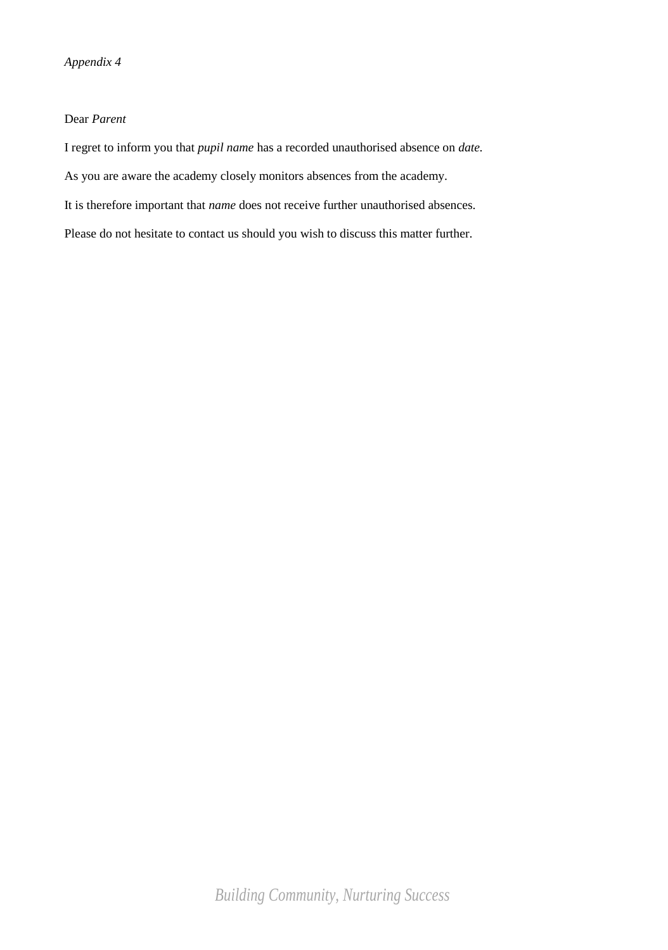## Dear *Parent*

I regret to inform you that *pupil name* has a recorded unauthorised absence on *date.* As you are aware the academy closely monitors absences from the academy. It is therefore important that *name* does not receive further unauthorised absences. Please do not hesitate to contact us should you wish to discuss this matter further.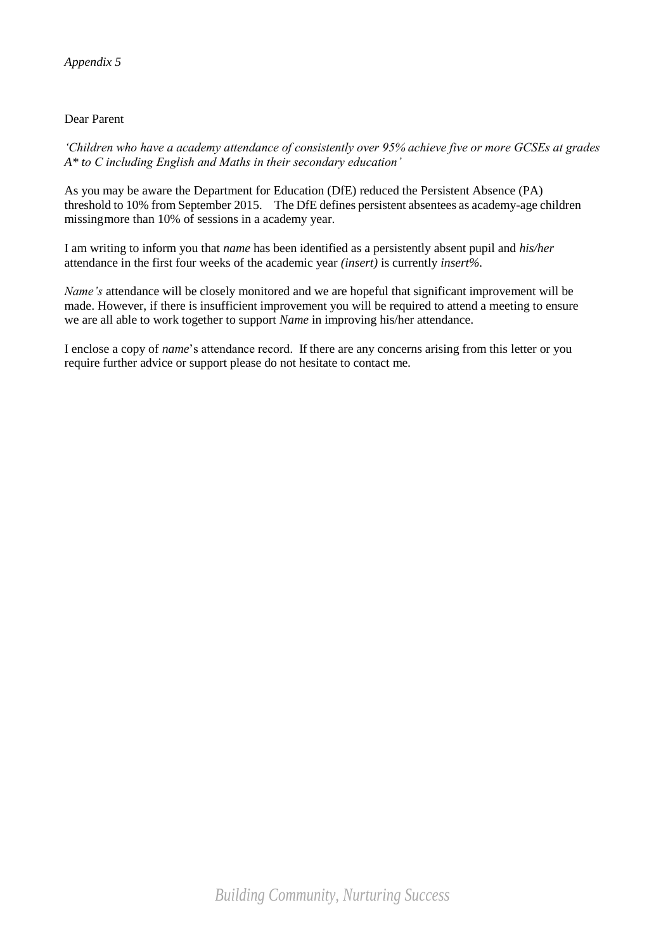# Dear Parent

*'Children who have a academy attendance of consistently over 95% achieve five or more GCSEs at grades A\* to C including English and Maths in their secondary education'*

As you may be aware the Department for Education (DfE) reduced the Persistent Absence (PA) threshold to 10% from September 2015. The DfE defines persistent absentees as academy-age children missingmore than 10% of sessions in a academy year.

I am writing to inform you that *name* has been identified as a persistently absent pupil and *his/her* attendance in the first four weeks of the academic year *(insert)* is currently *insert%*.

*Name's* attendance will be closely monitored and we are hopeful that significant improvement will be made. However, if there is insufficient improvement you will be required to attend a meeting to ensure we are all able to work together to support *Name* in improving his/her attendance.

I enclose a copy of *name*'s attendance record. If there are any concerns arising from this letter or you require further advice or support please do not hesitate to contact me.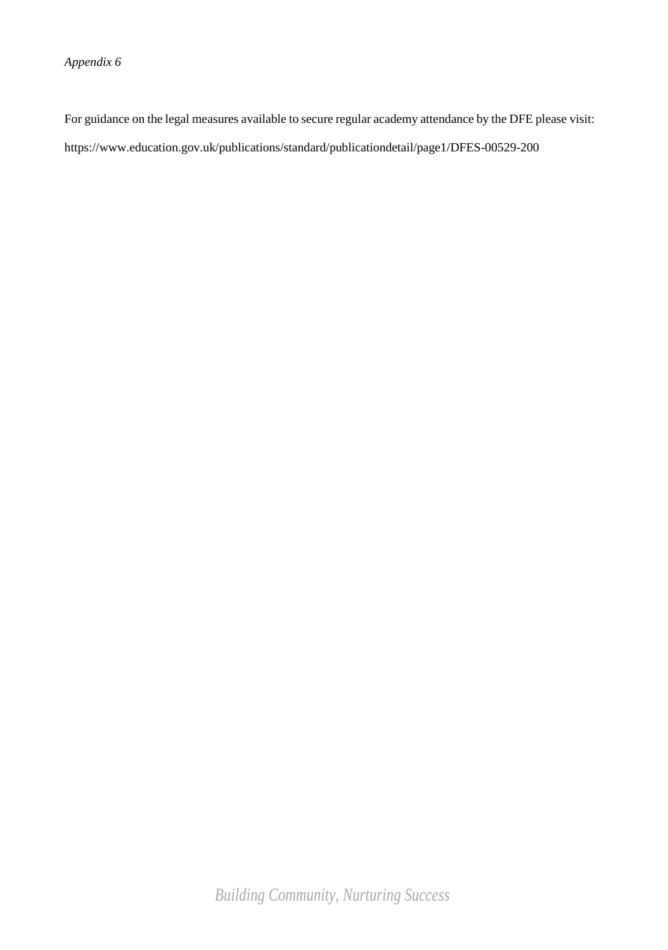*Appendix 6*

For guidance on the legal measures available to secure regular academy attendance by the DFE please visit: https:[//www.education.gov.uk/publications/standard/publicationdetail/page1/DFES-00529-200](http://www.education.gov.uk/publications/standard/publicationdetail/page1/DFES-00529-200)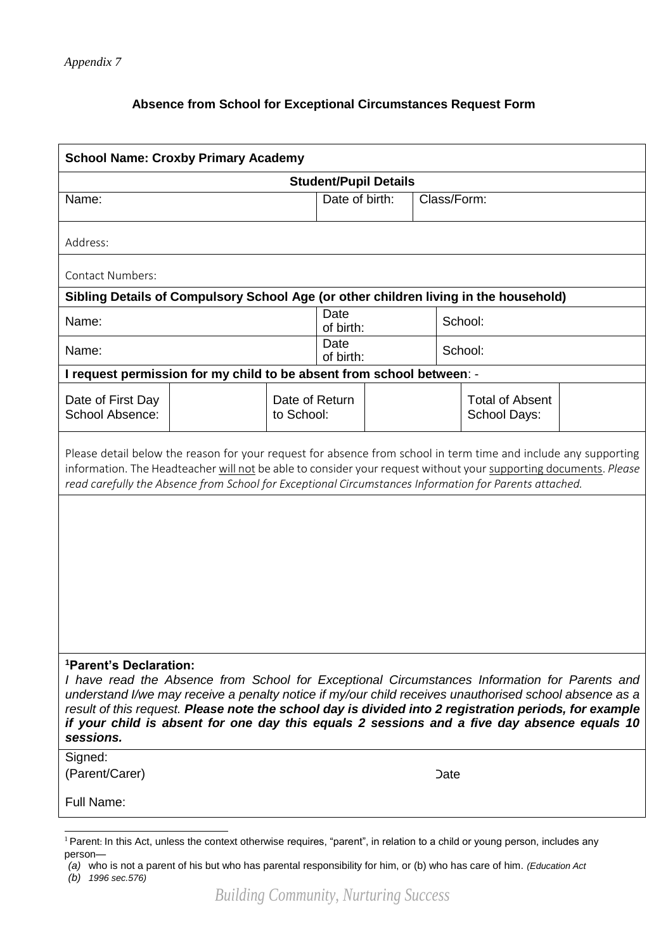# **Absence from School for Exceptional Circumstances Request Form**

| <b>School Name: Croxby Primary Academy</b>                                                                                                                                                                                                                                                                                                                                                                                                                          |  |                              |                   |  |             |                                        |  |  |  |  |
|---------------------------------------------------------------------------------------------------------------------------------------------------------------------------------------------------------------------------------------------------------------------------------------------------------------------------------------------------------------------------------------------------------------------------------------------------------------------|--|------------------------------|-------------------|--|-------------|----------------------------------------|--|--|--|--|
| <b>Student/Pupil Details</b>                                                                                                                                                                                                                                                                                                                                                                                                                                        |  |                              |                   |  |             |                                        |  |  |  |  |
| Name:                                                                                                                                                                                                                                                                                                                                                                                                                                                               |  |                              | Date of birth:    |  | Class/Form: |                                        |  |  |  |  |
| Address:                                                                                                                                                                                                                                                                                                                                                                                                                                                            |  |                              |                   |  |             |                                        |  |  |  |  |
| <b>Contact Numbers:</b>                                                                                                                                                                                                                                                                                                                                                                                                                                             |  |                              |                   |  |             |                                        |  |  |  |  |
| Sibling Details of Compulsory School Age (or other children living in the household)                                                                                                                                                                                                                                                                                                                                                                                |  |                              |                   |  |             |                                        |  |  |  |  |
| Name:                                                                                                                                                                                                                                                                                                                                                                                                                                                               |  |                              | Date<br>of birth: |  |             | School:                                |  |  |  |  |
| Name:                                                                                                                                                                                                                                                                                                                                                                                                                                                               |  |                              | Date<br>of birth: |  |             | School:                                |  |  |  |  |
| I request permission for my child to be absent from school between: -                                                                                                                                                                                                                                                                                                                                                                                               |  |                              |                   |  |             |                                        |  |  |  |  |
| Date of First Day<br>School Absence:                                                                                                                                                                                                                                                                                                                                                                                                                                |  | Date of Return<br>to School: |                   |  |             | <b>Total of Absent</b><br>School Days: |  |  |  |  |
| Please detail below the reason for your request for absence from school in term time and include any supporting<br>information. The Headteacher will not be able to consider your request without your supporting documents. Please<br>read carefully the Absence from School for Exceptional Circumstances Information for Parents attached.                                                                                                                       |  |                              |                   |  |             |                                        |  |  |  |  |
|                                                                                                                                                                                                                                                                                                                                                                                                                                                                     |  |                              |                   |  |             |                                        |  |  |  |  |
| <sup>1</sup> Parent's Declaration:<br>I have read the Absence from School for Exceptional Circumstances Information for Parents and<br>understand I/we may receive a penalty notice if my/our child receives unauthorised school absence as a<br>result of this request. Please note the school day is divided into 2 registration periods, for example<br>if your child is absent for one day this equals 2 sessions and a five day absence equals 10<br>sessions. |  |                              |                   |  |             |                                        |  |  |  |  |
| Signed:<br>(Parent/Carer)                                                                                                                                                                                                                                                                                                                                                                                                                                           |  |                              |                   |  | Date:       |                                        |  |  |  |  |
| Full Name:                                                                                                                                                                                                                                                                                                                                                                                                                                                          |  |                              |                   |  |             |                                        |  |  |  |  |
|                                                                                                                                                                                                                                                                                                                                                                                                                                                                     |  |                              |                   |  |             |                                        |  |  |  |  |

<sup>&</sup>lt;sup>1</sup> Parent: In this Act, unless the context otherwise requires, "parent", in relation to a child or young person, includes any person—

*<sup>(</sup>a)* who is not a parent of his but who has parental responsibility for him, or (b) who has care of him. *(Education Act (b) 1996 sec.576)*